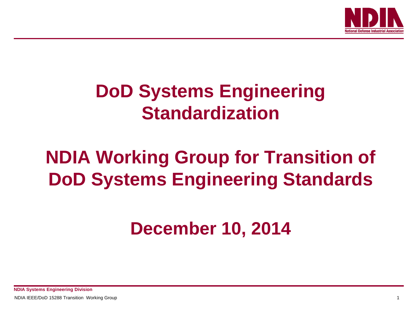

## **DoD Systems Engineering Standardization**

# **NDIA Working Group for Transition of DoD Systems Engineering Standards**

### **December 10, 2014**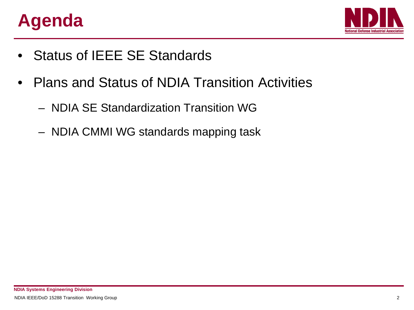### **Agenda**



- Status of IEEE SE Standards
- Plans and Status of NDIA Transition Activities
	- NDIA SE Standardization Transition WG
	- NDIA CMMI WG standards mapping task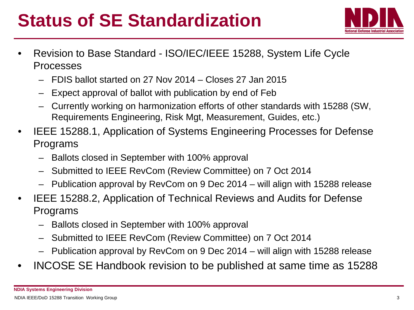### **Status of SE Standardization**



- Revision to Base Standard ISO/IEC/IEEE 15288, System Life Cycle Processes
	- FDIS ballot started on 27 Nov 2014 Closes 27 Jan 2015
	- Expect approval of ballot with publication by end of Feb
	- Currently working on harmonization efforts of other standards with 15288 (SW, Requirements Engineering, Risk Mgt, Measurement, Guides, etc.)
- IEEE 15288.1, Application of Systems Engineering Processes for Defense Programs
	- Ballots closed in September with 100% approval
	- Submitted to IEEE RevCom (Review Committee) on 7 Oct 2014
	- Publication approval by RevCom on 9 Dec 2014 will align with 15288 release
- IEEE 15288.2, Application of Technical Reviews and Audits for Defense Programs
	- Ballots closed in September with 100% approval
	- Submitted to IEEE RevCom (Review Committee) on 7 Oct 2014
	- Publication approval by RevCom on 9 Dec 2014 will align with 15288 release
- INCOSE SE Handbook revision to be published at same time as 15288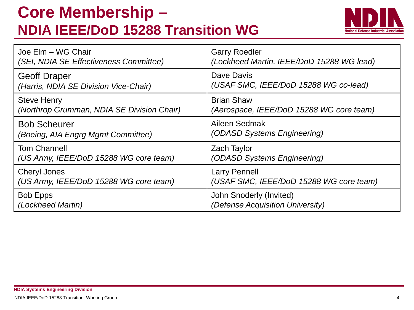#### **Core Membership – NDIA IEEE/DoD 15288 Transition WG**



| Joe Elm - WG Chair                         | <b>Garry Roedler</b>                      |
|--------------------------------------------|-------------------------------------------|
| (SEI, NDIA SE Effectiveness Committee)     | (Lockheed Martin, IEEE/DoD 15288 WG lead) |
| <b>Geoff Draper</b>                        | Dave Davis                                |
| (Harris, NDIA SE Division Vice-Chair)      | (USAF SMC, IEEE/DoD 15288 WG co-lead)     |
| <b>Steve Henry</b>                         | <b>Brian Shaw</b>                         |
| (Northrop Grumman, NDIA SE Division Chair) | (Aerospace, IEEE/DoD 15288 WG core team)  |
| <b>Bob Scheurer</b>                        | Aileen Sedmak                             |
| (Boeing, AIA Engrg Mgmt Committee)         | <i>(ODASD Systems Engineering)</i>        |
| <b>Tom Channell</b>                        | <b>Zach Taylor</b>                        |
| (US Army, IEEE/DoD 15288 WG core team)     | <i>(ODASD Systems Engineering)</i>        |
| <b>Cheryl Jones</b>                        | <b>Larry Pennell</b>                      |
| (US Army, IEEE/DoD 15288 WG core team)     | (USAF SMC, IEEE/DoD 15288 WG core team)   |
| <b>Bob Epps</b>                            | John Snoderly (Invited)                   |
| (Lockheed Martin)                          | (Defense Acquisition University)          |